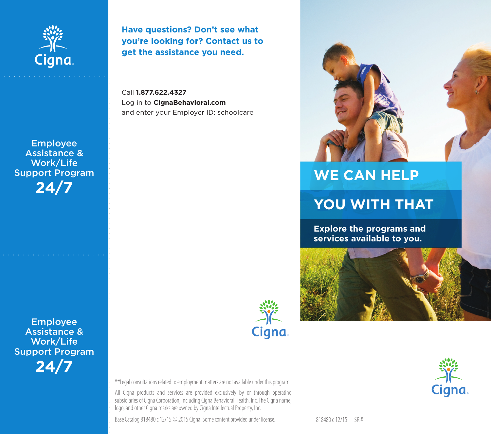

**Have questions? Don't see what you're looking for? Contact us to get the assistance you need.** 

Call **1.877.622.4327**  Log in to **CignaBehavioral.com**  and enter your Employer ID: schoolcare

# **WE CAN HELP**

## **YOU WITH THAT**

**Explore the programs and services available to you.** 





Cigna.

\*\*Legal consultations related to employment matters are not available under this program. All Cigna products and services are provided exclusively by or through operating subsidiaries of Cigna Corporation, including Cigna Behavioral Health, Inc. The Cigna name, logo, and other Cigna marks are owned by Cigna Intellectual Property, Inc.

Base Catalog 818480 c 12/15 © 2015 Cigna. Some content provided under license.

818480 c 12/15 SR #

**24/7** 

Employee Assistance & Work/Life Support Program

Employee Assistance & Work/Life Support Program **24/7**